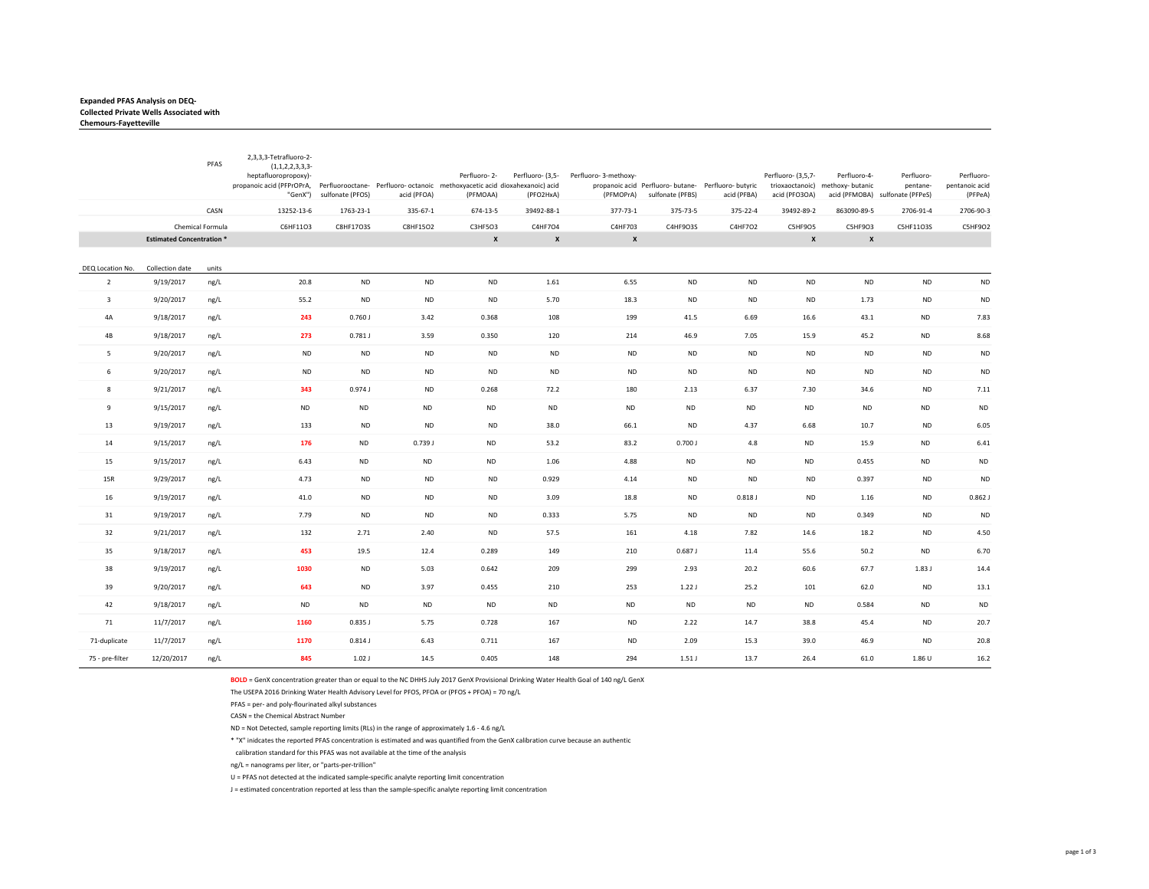## **Expanded PFAS Analysis on DEQ‐ Collected Private Wells Associated with**

|                           |                                 | PFAS             | 2,3,3,3-Tetrafluoro-2-<br>$(1, 1, 2, 2, 3, 3, 3 -$<br>heptafluoropropoxy)-<br>propanoic acid (PFPrOPrA, Perfluorooctane- Perfluoro- octanoic methoxyacetic acid dioxahexanoic) acid<br>"GenX") | sulfonate (PFOS) | acid (PFOA) | Perfluoro-2-<br>(PFMOAA) | Perfluoro- (3,5-<br>(PFO2HxA) | Perfluoro-3-methoxy-<br>(PFMOPrA) | sulfonate (PFBS) | propanoic acid Perfluoro- butane- Perfluoro- butyric<br>acid (PFBA) | Perfluoro- (3,5,7-<br>acid (PFO3OA) | Perfluoro-4-<br>trioxaoctanoic) methoxy- butanic | Perfluoro-<br>pentane-<br>acid (PFMOBA) sulfonate (PFPeS) | Perfluoro-<br>pentanoic acid<br>(PFPeA) |
|---------------------------|---------------------------------|------------------|------------------------------------------------------------------------------------------------------------------------------------------------------------------------------------------------|------------------|-------------|--------------------------|-------------------------------|-----------------------------------|------------------|---------------------------------------------------------------------|-------------------------------------|--------------------------------------------------|-----------------------------------------------------------|-----------------------------------------|
|                           |                                 | CASN             | 13252-13-6                                                                                                                                                                                     | 1763-23-1        | 335-67-1    | 674-13-5                 | 39492-88-1                    | 377-73-1                          | 375-73-5         | 375-22-4                                                            | 39492-89-2                          | 863090-89-5                                      | 2706-91-4                                                 | 2706-90-3                               |
|                           |                                 | Chemical Formula | C6HF11O3                                                                                                                                                                                       | C8HF17O3S        | C8HF15O2    | C3HF5O3                  | C4HF7O4                       | C4HF703                           | C4HF9O3S         | C4HF7O2                                                             | C5HF9O5                             | C5HF9O3                                          | C5HF11O3S                                                 | <b>C5HF9O2</b>                          |
|                           | <b>Estimated Concentration*</b> |                  |                                                                                                                                                                                                |                  |             | $\pmb{\mathsf{x}}$       | $\pmb{\times}$                | X                                 |                  |                                                                     | $\pmb{\mathsf{x}}$                  | $\pmb{\mathsf{x}}$                               |                                                           |                                         |
| DEQ Location No.          | Collection date                 | units            |                                                                                                                                                                                                |                  |             |                          |                               |                                   |                  |                                                                     |                                     |                                                  |                                                           |                                         |
| $\overline{2}$            | 9/19/2017                       | ng/L             | 20.8                                                                                                                                                                                           | <b>ND</b>        | <b>ND</b>   | <b>ND</b>                | 1.61                          | 6.55                              | <b>ND</b>        | <b>ND</b>                                                           | <b>ND</b>                           | <b>ND</b>                                        | $\sf ND$                                                  | <b>ND</b>                               |
| $\overline{3}$            | 9/20/2017                       | ng/L             | 55.2                                                                                                                                                                                           | <b>ND</b>        | <b>ND</b>   | ND                       | 5.70                          | 18.3                              | <b>ND</b>        | <b>ND</b>                                                           | <b>ND</b>                           | 1.73                                             | <b>ND</b>                                                 | <b>ND</b>                               |
| 4A                        | 9/18/2017                       | ng/L             | 243                                                                                                                                                                                            | 0.760J           | 3.42        | 0.368                    | 108                           | 199                               | 41.5             | 6.69                                                                | 16.6                                | 43.1                                             | <b>ND</b>                                                 | 7.83                                    |
| 4B                        | 9/18/2017                       | ng/L             | 273                                                                                                                                                                                            | 0.781J           | 3.59        | 0.350                    | 120                           | 214                               | 46.9             | 7.05                                                                | 15.9                                | 45.2                                             | <b>ND</b>                                                 | 8.68                                    |
| 5                         | 9/20/2017                       | ng/L             | <b>ND</b>                                                                                                                                                                                      | <b>ND</b>        | <b>ND</b>   | <b>ND</b>                | <b>ND</b>                     | <b>ND</b>                         | <b>ND</b>        | <b>ND</b>                                                           | <b>ND</b>                           | <b>ND</b>                                        | <b>ND</b>                                                 | <b>ND</b>                               |
| 6                         | 9/20/2017                       | ng/L             | <b>ND</b>                                                                                                                                                                                      | <b>ND</b>        | <b>ND</b>   | <b>ND</b>                | <b>ND</b>                     | <b>ND</b>                         | <b>ND</b>        | <b>ND</b>                                                           | <b>ND</b>                           | <b>ND</b>                                        | <b>ND</b>                                                 | <b>ND</b>                               |
| $\boldsymbol{\mathsf{R}}$ | 9/21/2017                       | ng/L             | 343                                                                                                                                                                                            | 0.974J           | <b>ND</b>   | 0.268                    | 72.2                          | 180                               | 2.13             | 6.37                                                                | 7.30                                | 34.6                                             | <b>ND</b>                                                 | 7.11                                    |
| 9                         | 9/15/2017                       | ng/L             | <b>ND</b>                                                                                                                                                                                      | <b>ND</b>        | <b>ND</b>   | <b>ND</b>                | <b>ND</b>                     | <b>ND</b>                         | <b>ND</b>        | <b>ND</b>                                                           | $\sf ND$                            | <b>ND</b>                                        | <b>ND</b>                                                 | <b>ND</b>                               |
| 13                        | 9/19/2017                       | ng/L             | 133                                                                                                                                                                                            | <b>ND</b>        | <b>ND</b>   | <b>ND</b>                | 38.0                          | 66.1                              | <b>ND</b>        | 4.37                                                                | 6.68                                | 10.7                                             | <b>ND</b>                                                 | 6.05                                    |
| 14                        | 9/15/2017                       | ng/L             | 176                                                                                                                                                                                            | <b>ND</b>        | 0.739J      | <b>ND</b>                | 53.2                          | 83.2                              | 0.700J           | 4.8                                                                 | <b>ND</b>                           | 15.9                                             | <b>ND</b>                                                 | 6.41                                    |
| 15                        | 9/15/2017                       | ng/L             | 6.43                                                                                                                                                                                           | <b>ND</b>        | <b>ND</b>   | <b>ND</b>                | 1.06                          | 4.88                              | <b>ND</b>        | <b>ND</b>                                                           | <b>ND</b>                           | 0.455                                            | <b>ND</b>                                                 | <b>ND</b>                               |
| 15R                       | 9/29/2017                       | ng/L             | 4.73                                                                                                                                                                                           | <b>ND</b>        | <b>ND</b>   | <b>ND</b>                | 0.929                         | 4.14                              | <b>ND</b>        | <b>ND</b>                                                           | <b>ND</b>                           | 0.397                                            | <b>ND</b>                                                 | <b>ND</b>                               |
| 16                        | 9/19/2017                       | ng/L             | 41.0                                                                                                                                                                                           | <b>ND</b>        | <b>ND</b>   | <b>ND</b>                | 3.09                          | 18.8                              | <b>ND</b>        | $0.818$ J                                                           | <b>ND</b>                           | 1.16                                             | <b>ND</b>                                                 | $0.862$ J                               |
| 31                        | 9/19/2017                       | ng/L             | 7.79                                                                                                                                                                                           | <b>ND</b>        | <b>ND</b>   | <b>ND</b>                | 0.333                         | 5.75                              | <b>ND</b>        | <b>ND</b>                                                           | ND                                  | 0.349                                            | <b>ND</b>                                                 | <b>ND</b>                               |
| 32                        | 9/21/2017                       | ng/L             | 132                                                                                                                                                                                            | 2.71             | 2.40        | <b>ND</b>                | 57.5                          | 161                               | 4.18             | 7.82                                                                | 14.6                                | 18.2                                             | <b>ND</b>                                                 | 4.50                                    |
| 35                        | 9/18/2017                       | ng/L             | 453                                                                                                                                                                                            | 19.5             | 12.4        | 0.289                    | 149                           | 210                               | 0.687J           | 11.4                                                                | 55.6                                | 50.2                                             | <b>ND</b>                                                 | 6.70                                    |
| 38                        | 9/19/2017                       | ng/L             | 1030                                                                                                                                                                                           | <b>ND</b>        | 5.03        | 0.642                    | 209                           | 299                               | 2.93             | 20.2                                                                | 60.6                                | 67.7                                             | 1.83J                                                     | 14.4                                    |
| 39                        | 9/20/2017                       | ng/L             | 643                                                                                                                                                                                            | <b>ND</b>        | 3.97        | 0.455                    | 210                           | 253                               | 1.22J            | 25.2                                                                | 101                                 | 62.0                                             | <b>ND</b>                                                 | 13.1                                    |
| 42                        | 9/18/2017                       | ng/L             | <b>ND</b>                                                                                                                                                                                      | <b>ND</b>        | <b>ND</b>   | <b>ND</b>                | <b>ND</b>                     | <b>ND</b>                         | <b>ND</b>        | <b>ND</b>                                                           | <b>ND</b>                           | 0.584                                            | <b>ND</b>                                                 | <b>ND</b>                               |
| 71                        | 11/7/2017                       | ng/L             | 1160                                                                                                                                                                                           | $0.835$ J        | 5.75        | 0.728                    | 167                           | <b>ND</b>                         | 2.22             | 14.7                                                                | 38.8                                | 45.4                                             | <b>ND</b>                                                 | 20.7                                    |
| 71-duplicate              | 11/7/2017                       | ng/L             | 1170                                                                                                                                                                                           | 0.814J           | 6.43        | 0.711                    | 167                           | <b>ND</b>                         | 2.09             | 15.3                                                                | 39.0                                | 46.9                                             | <b>ND</b>                                                 | 20.8                                    |
| 75 - pre-filter           | 12/20/2017                      | ng/L             | 845                                                                                                                                                                                            | $1.02$ J         | 14.5        | 0.405                    | 148                           | 294                               | 1.51J            | 13.7                                                                | 26.4                                | 61.0                                             | 1.86 U                                                    | 16.2                                    |

**BOLD** = GenX concentration greater than or equal to the NC DHHS July 2017 GenX Provisional Drinking Water Health Goal of 140 ng/L GenX

The USEPA 2016 Drinking Water Health Advisory Level for PFOS, PFOA or (PFOS + PFOA) = 70 ng/L

PFAS = per‐ and poly‐flourinated alkyl substances

CASN = the Chemical Abstract Number

ND = Not Detected, sample reporting limits (RLs) in the range of approximately 1.6 ‐ 4.6 ng/L

\* "X" inidcates the reported PFAS concentration is estimated and was quantified from the GenX calibration curve because an authentic

calibration standard for this PFAS was not available at the time of the analysis

ng/L = nanograms per liter, or "parts‐per‐trillion"

U = PFAS not detected at the indicated sample‐specific analyte reporting limit concentration

J = estimated concentration reported at less than the sample‐specific analyte reporting limit concentration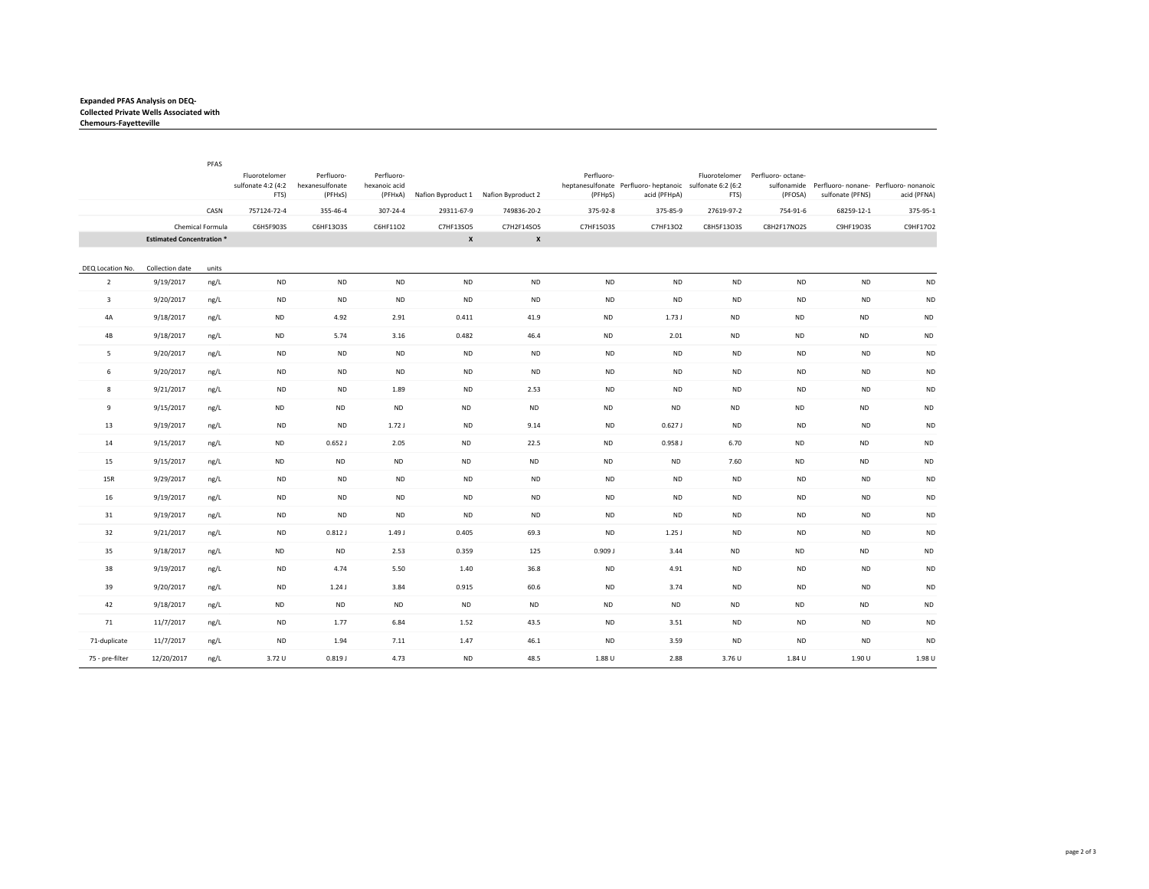## **Expanded PFAS Analysis on DEQ‐ Collected Private Wells Associated with Chemours‐Fayetteville**

|                         |                                 | PFAS             |                                             |                                          |                             |                                               |                    |                       |                                                                          |            |                                             |                  |                                                                   |
|-------------------------|---------------------------------|------------------|---------------------------------------------|------------------------------------------|-----------------------------|-----------------------------------------------|--------------------|-----------------------|--------------------------------------------------------------------------|------------|---------------------------------------------|------------------|-------------------------------------------------------------------|
|                         |                                 |                  | Fluorotelomer<br>sulfonate 4:2 (4:2<br>FTS) | Perfluoro-<br>hexanesulfonate<br>(PFHxS) | Perfluoro-<br>hexanoic acid | (PFHxA) Nafion Byproduct 1 Nafion Byproduct 2 |                    | Perfluoro-<br>(PFHpS) | heptanesulfonate Perfluoro-heptanoic sulfonate 6:2 (6:2)<br>acid (PFHpA) | FTS)       | Fluorotelomer Perfluoro- octane-<br>(PFOSA) | sulfonate (PFNS) | sulfonamide Perfluoro- nonane- Perfluoro- nonanoic<br>acid (PFNA) |
|                         |                                 | CASN             | 757124-72-4                                 | 355-46-4                                 | $307 - 24 - 4$              | 29311-67-9                                    | 749836-20-2        | 375-92-8              | 375-85-9                                                                 | 27619-97-2 | 754-91-6                                    | 68259-12-1       | 375-95-1                                                          |
|                         |                                 | Chemical Formula | C6H5F903S                                   | C6HF13O3S                                | C6HF11O2                    | C7HF13SO5                                     | C7H2F14SO5         | C7HF15O3S             | C7HF13O2                                                                 | C8H5F13O3S | C8H2F17NO2S                                 | C9HF19O3S        | C9HF17O2                                                          |
|                         | <b>Estimated Concentration*</b> |                  |                                             |                                          |                             | $\pmb{\mathsf{x}}$                            | $\pmb{\mathsf{x}}$ |                       |                                                                          |            |                                             |                  |                                                                   |
| DEQ Location No.        | Collection date                 | units            |                                             |                                          |                             |                                               |                    |                       |                                                                          |            |                                             |                  |                                                                   |
| $\overline{2}$          | 9/19/2017                       | ng/L             | <b>ND</b>                                   | <b>ND</b>                                | <b>ND</b>                   | <b>ND</b>                                     | <b>ND</b>          | <b>ND</b>             | <b>ND</b>                                                                | <b>ND</b>  | <b>ND</b>                                   | <b>ND</b>        | <b>ND</b>                                                         |
| $\overline{\mathbf{3}}$ | 9/20/2017                       | ng/L             | <b>ND</b>                                   | <b>ND</b>                                | <b>ND</b>                   | <b>ND</b>                                     | <b>ND</b>          | <b>ND</b>             | <b>ND</b>                                                                | <b>ND</b>  | <b>ND</b>                                   | <b>ND</b>        | $\sf ND$                                                          |
| 4A                      | 9/18/2017                       | ng/L             | <b>ND</b>                                   | 4.92                                     | 2.91                        | 0.411                                         | 41.9               | <b>ND</b>             | 1.73J                                                                    | <b>ND</b>  | <b>ND</b>                                   | <b>ND</b>        | <b>ND</b>                                                         |
| 4B                      | 9/18/2017                       | ng/L             | <b>ND</b>                                   | 5.74                                     | 3.16                        | 0.482                                         | 46.4               | <b>ND</b>             | 2.01                                                                     | <b>ND</b>  | <b>ND</b>                                   | <b>ND</b>        | <b>ND</b>                                                         |
| 5                       | 9/20/2017                       | ng/L             | <b>ND</b>                                   | <b>ND</b>                                | <b>ND</b>                   | <b>ND</b>                                     | <b>ND</b>          | <b>ND</b>             | <b>ND</b>                                                                | <b>ND</b>  | <b>ND</b>                                   | <b>ND</b>        | <b>ND</b>                                                         |
| 6                       | 9/20/2017                       | ng/L             | <b>ND</b>                                   | <b>ND</b>                                | <b>ND</b>                   | <b>ND</b>                                     | <b>ND</b>          | <b>ND</b>             | <b>ND</b>                                                                | <b>ND</b>  | <b>ND</b>                                   | <b>ND</b>        | <b>ND</b>                                                         |
| 8                       | 9/21/2017                       | ng/L             | <b>ND</b>                                   | <b>ND</b>                                | 1.89                        | <b>ND</b>                                     | 2.53               | <b>ND</b>             | <b>ND</b>                                                                | <b>ND</b>  | <b>ND</b>                                   | <b>ND</b>        | <b>ND</b>                                                         |
| $\overline{9}$          | 9/15/2017                       | ng/L             | <b>ND</b>                                   | <b>ND</b>                                | <b>ND</b>                   | ND                                            | <b>ND</b>          | <b>ND</b>             | $\sf ND$                                                                 | <b>ND</b>  | <b>ND</b>                                   | <b>ND</b>        | <b>ND</b>                                                         |
| 13                      | 9/19/2017                       | ng/L             | <b>ND</b>                                   | <b>ND</b>                                | 1.72J                       | <b>ND</b>                                     | 9.14               | <b>ND</b>             | 0.627J                                                                   | <b>ND</b>  | <b>ND</b>                                   | <b>ND</b>        | <b>ND</b>                                                         |
| 14                      | 9/15/2017                       | ng/L             | <b>ND</b>                                   | $0.652$ J                                | 2.05                        | <b>ND</b>                                     | 22.5               | <b>ND</b>             | $0.958$ J                                                                | 6.70       | <b>ND</b>                                   | <b>ND</b>        | $\sf ND$                                                          |
| 15                      | 9/15/2017                       | ng/L             | <b>ND</b>                                   | <b>ND</b>                                | <b>ND</b>                   | <b>ND</b>                                     | <b>ND</b>          | <b>ND</b>             | <b>ND</b>                                                                | 7.60       | <b>ND</b>                                   | <b>ND</b>        | <b>ND</b>                                                         |
| 15R                     | 9/29/2017                       | ng/L             | <b>ND</b>                                   | <b>ND</b>                                | <b>ND</b>                   | <b>ND</b>                                     | <b>ND</b>          | <b>ND</b>             | <b>ND</b>                                                                | <b>ND</b>  | <b>ND</b>                                   | <b>ND</b>        | <b>ND</b>                                                         |
| 16                      | 9/19/2017                       | ng/L             | <b>ND</b>                                   | <b>ND</b>                                | <b>ND</b>                   | <b>ND</b>                                     | <b>ND</b>          | <b>ND</b>             | <b>ND</b>                                                                | $\sf ND$   | <b>ND</b>                                   | <b>ND</b>        | <b>ND</b>                                                         |
| 31                      | 9/19/2017                       | ng/L             | <b>ND</b>                                   | <b>ND</b>                                | <b>ND</b>                   | <b>ND</b>                                     | <b>ND</b>          | <b>ND</b>             | <b>ND</b>                                                                | <b>ND</b>  | <b>ND</b>                                   | <b>ND</b>        | <b>ND</b>                                                         |
| 32                      | 9/21/2017                       | ng/L             | <b>ND</b>                                   | $0.812$ J                                | 1.49J                       | 0.405                                         | 69.3               | <b>ND</b>             | 1.25J                                                                    | <b>ND</b>  | <b>ND</b>                                   | <b>ND</b>        | <b>ND</b>                                                         |
| 35                      | 9/18/2017                       | ng/L             | <b>ND</b>                                   | <b>ND</b>                                | 2.53                        | 0.359                                         | 125                | 0.909 J               | 3.44                                                                     | <b>ND</b>  | <b>ND</b>                                   | <b>ND</b>        | <b>ND</b>                                                         |
| 38                      | 9/19/2017                       | ng/L             | <b>ND</b>                                   | 4.74                                     | 5.50                        | 1.40                                          | 36.8               | <b>ND</b>             | 4.91                                                                     | <b>ND</b>  | <b>ND</b>                                   | <b>ND</b>        | <b>ND</b>                                                         |
| 39                      | 9/20/2017                       | ng/L             | <b>ND</b>                                   | 1.24J                                    | 3.84                        | 0.915                                         | 60.6               | <b>ND</b>             | 3.74                                                                     | <b>ND</b>  | <b>ND</b>                                   | <b>ND</b>        | <b>ND</b>                                                         |
| 42                      | 9/18/2017                       | ng/L             | <b>ND</b>                                   | <b>ND</b>                                | <b>ND</b>                   | <b>ND</b>                                     | <b>ND</b>          | <b>ND</b>             | <b>ND</b>                                                                | <b>ND</b>  | <b>ND</b>                                   | <b>ND</b>        | <b>ND</b>                                                         |
| 71                      | 11/7/2017                       | ng/L             | <b>ND</b>                                   | 1.77                                     | 6.84                        | 1.52                                          | 43.5               | <b>ND</b>             | 3.51                                                                     | <b>ND</b>  | <b>ND</b>                                   | <b>ND</b>        | <b>ND</b>                                                         |
| 71-duplicate            | 11/7/2017                       | ng/L             | <b>ND</b>                                   | 1.94                                     | 7.11                        | 1.47                                          | 46.1               | <b>ND</b>             | 3.59                                                                     | <b>ND</b>  | <b>ND</b>                                   | <b>ND</b>        | <b>ND</b>                                                         |
| 75 - pre-filter         | 12/20/2017                      | ng/L             | 3.72 U                                      | 0.819J                                   | 4.73                        | <b>ND</b>                                     | 48.5               | 1.88 U                | 2.88                                                                     | 3.76 U     | 1.84 U                                      | 1.90 U           | 1.98 U                                                            |